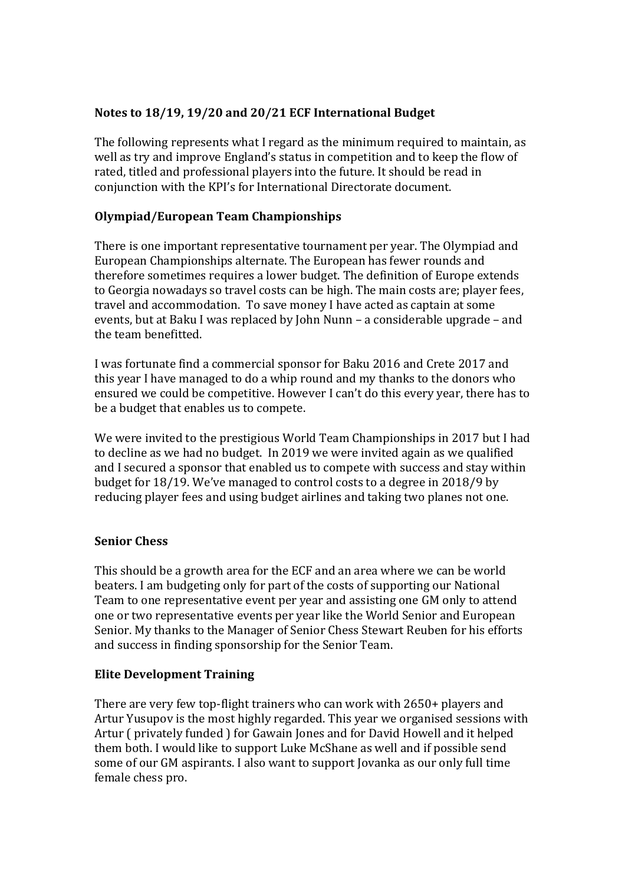# **Notes to 18/19, 19/20 and 20/21 ECF International Budget**

The following represents what I regard as the minimum required to maintain, as well as try and improve England's status in competition and to keep the flow of rated, titled and professional players into the future. It should be read in conjunction with the KPI's for International Directorate document.

## **Olympiad/European Team Championships**

There is one important representative tournament per year. The Olympiad and European Championships alternate. The European has fewer rounds and therefore sometimes requires a lower budget. The definition of Europe extends to Georgia nowadays so travel costs can be high. The main costs are; player fees, travel and accommodation. To save money I have acted as captain at some events, but at Baku I was replaced by John Nunn – a considerable upgrade – and the team benefitted.

I was fortunate find a commercial sponsor for Baku 2016 and Crete 2017 and this year I have managed to do a whip round and my thanks to the donors who ensured we could be competitive. However I can't do this every year, there has to be a budget that enables us to compete.

We were invited to the prestigious World Team Championships in 2017 but I had to decline as we had no budget. In 2019 we were invited again as we qualified and I secured a sponsor that enabled us to compete with success and stay within budget for 18/19. We've managed to control costs to a degree in 2018/9 by reducing player fees and using budget airlines and taking two planes not one.

## **Senior Chess**

This should be a growth area for the ECF and an area where we can be world beaters. I am budgeting only for part of the costs of supporting our National Team to one representative event per year and assisting one GM only to attend one or two representative events per year like the World Senior and European Senior. My thanks to the Manager of Senior Chess Stewart Reuben for his efforts and success in finding sponsorship for the Senior Team.

## **Elite Development Training**

There are very few top-flight trainers who can work with 2650+ players and Artur Yusupov is the most highly regarded. This year we organised sessions with Artur ( privately funded ) for Gawain Jones and for David Howell and it helped them both. I would like to support Luke McShane as well and if possible send some of our GM aspirants. I also want to support Jovanka as our only full time female chess pro.